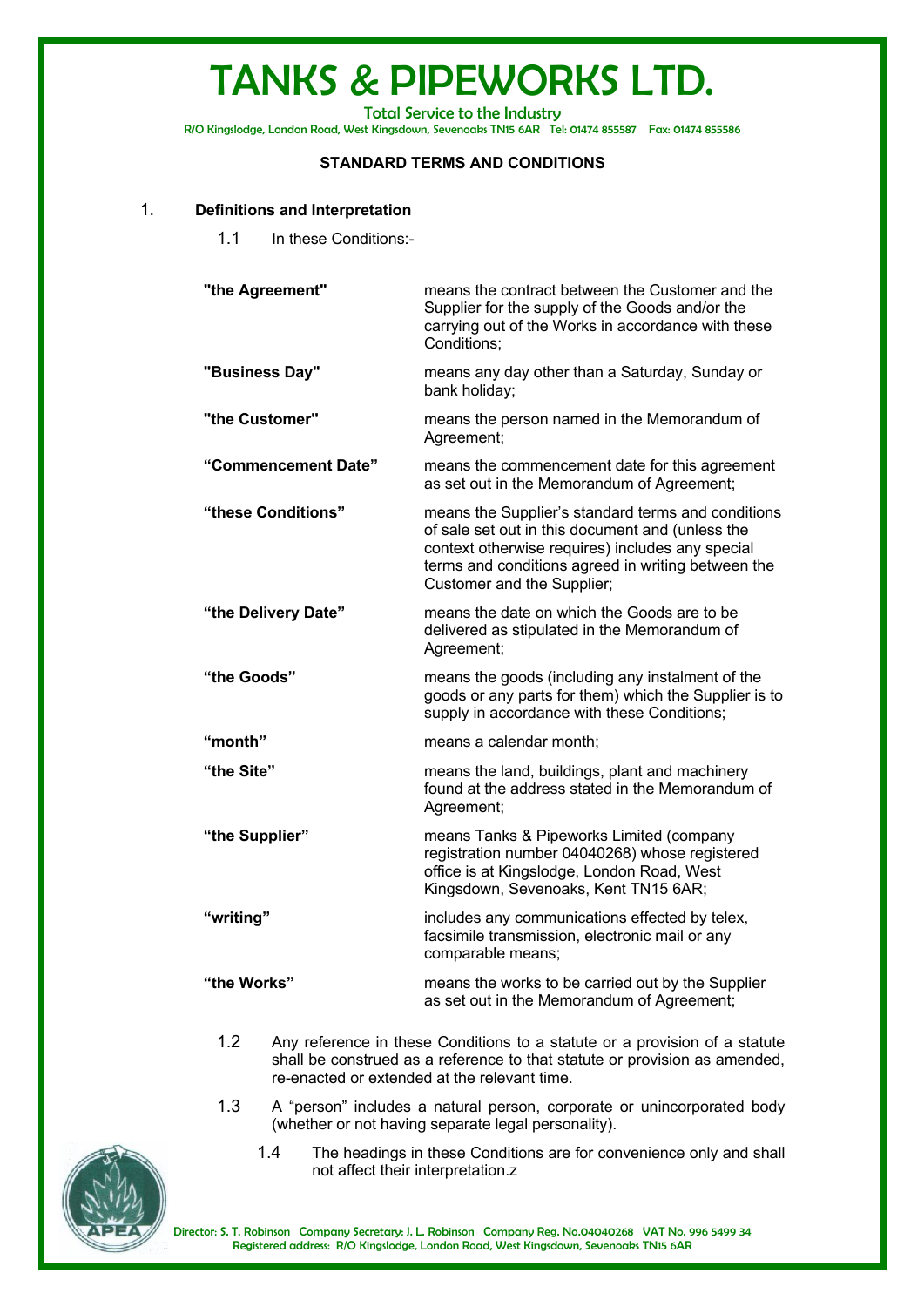Total Service to the Industry

R/O Kingslodge, London Road, West Kingsdown, Sevenoaks TN15 6AR Tel: 01474 855587 Fax: 01474 855586

#### **STANDARD TERMS AND CONDITIONS**

#### 1. **Definitions and Interpretation**

1.1 In these Conditions:-

| "the Agreement"     | means the contract between the Customer and the<br>Supplier for the supply of the Goods and/or the<br>carrying out of the Works in accordance with these<br>Conditions:                                                                        |
|---------------------|------------------------------------------------------------------------------------------------------------------------------------------------------------------------------------------------------------------------------------------------|
| "Business Day"      | means any day other than a Saturday, Sunday or<br>bank holiday;                                                                                                                                                                                |
| "the Customer"      | means the person named in the Memorandum of<br>Agreement;                                                                                                                                                                                      |
| "Commencement Date" | means the commencement date for this agreement<br>as set out in the Memorandum of Agreement;                                                                                                                                                   |
| "these Conditions"  | means the Supplier's standard terms and conditions<br>of sale set out in this document and (unless the<br>context otherwise requires) includes any special<br>terms and conditions agreed in writing between the<br>Customer and the Supplier; |
| "the Delivery Date" | means the date on which the Goods are to be<br>delivered as stipulated in the Memorandum of<br>Agreement;                                                                                                                                      |
| "the Goods"         | means the goods (including any instalment of the<br>goods or any parts for them) which the Supplier is to<br>supply in accordance with these Conditions;                                                                                       |
| "month"             | means a calendar month;                                                                                                                                                                                                                        |
| "the Site"          | means the land, buildings, plant and machinery<br>found at the address stated in the Memorandum of<br>Agreement;                                                                                                                               |
| "the Supplier"      | means Tanks & Pipeworks Limited (company<br>registration number 04040268) whose registered<br>office is at Kingslodge, London Road, West<br>Kingsdown, Sevenoaks, Kent TN15 6AR;                                                               |
| "writing"           | includes any communications effected by telex,<br>facsimile transmission, electronic mail or any<br>comparable means;                                                                                                                          |
| "the Works"         | means the works to be carried out by the Supplier<br>as set out in the Memorandum of Agreement;                                                                                                                                                |

- 1.2 Any reference in these Conditions to a statute or a provision of a statute shall be construed as a reference to that statute or provision as amended, re-enacted or extended at the relevant time.
- 1.3 A "person" includes a natural person, corporate or unincorporated body (whether or not having separate legal personality).



1.4 The headings in these Conditions are for convenience only and shall not affect their interpretation.z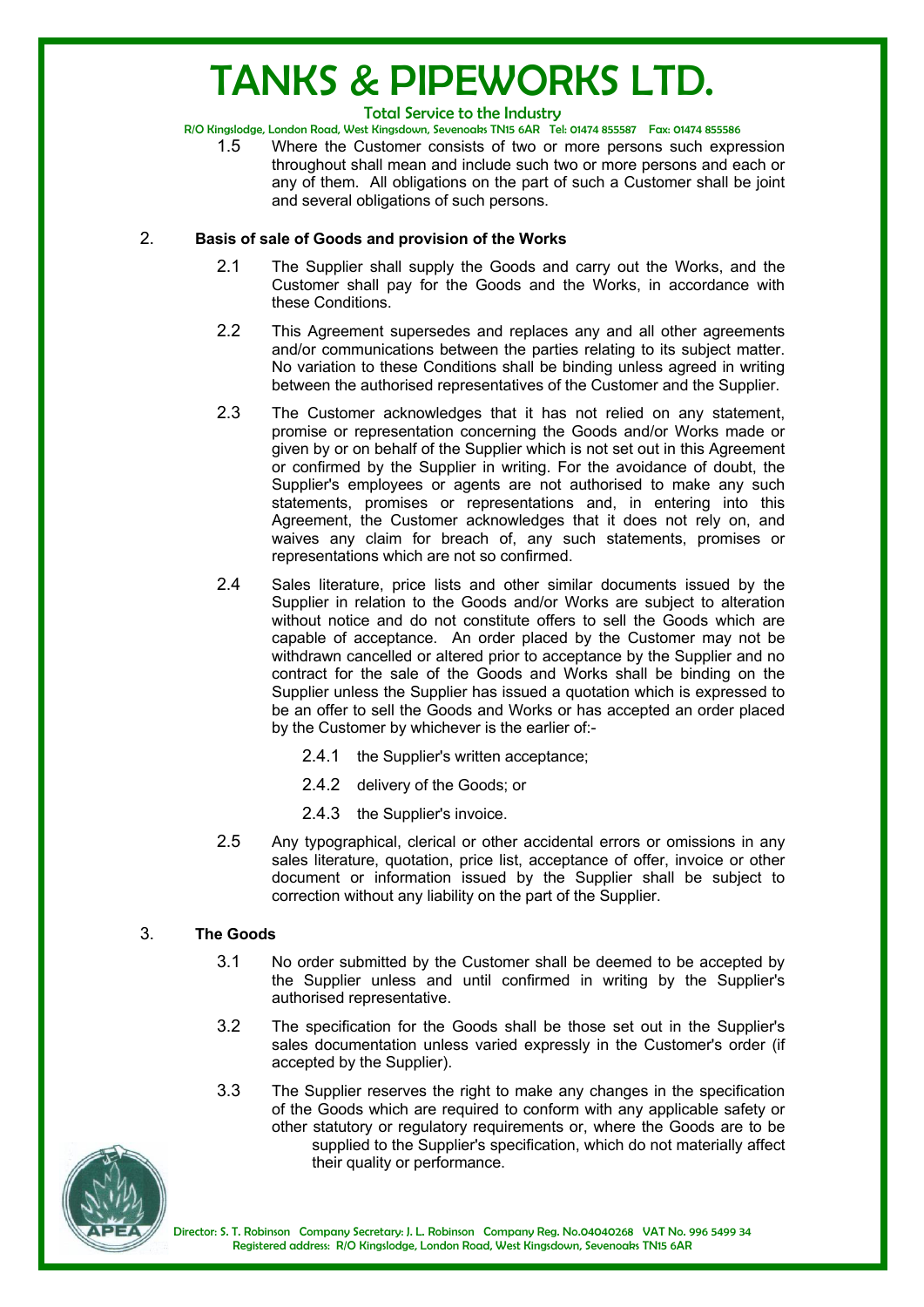#### Total Service to the Industry

R/O Kingslodge, London Road, West Kingsdown, Sevenoaks TN15 6AR Tel: 01474 855587 Fax: 01474 855586

1.5 Where the Customer consists of two or more persons such expression throughout shall mean and include such two or more persons and each or any of them. All obligations on the part of such a Customer shall be joint and several obligations of such persons.

#### 2. **Basis of sale of Goods and provision of the Works**

- 2.1 The Supplier shall supply the Goods and carry out the Works, and the Customer shall pay for the Goods and the Works, in accordance with these Conditions.
- 2.2 This Agreement supersedes and replaces any and all other agreements and/or communications between the parties relating to its subject matter. No variation to these Conditions shall be binding unless agreed in writing between the authorised representatives of the Customer and the Supplier.
- 2.3 The Customer acknowledges that it has not relied on any statement, promise or representation concerning the Goods and/or Works made or given by or on behalf of the Supplier which is not set out in this Agreement or confirmed by the Supplier in writing. For the avoidance of doubt, the Supplier's employees or agents are not authorised to make any such statements, promises or representations and, in entering into this Agreement, the Customer acknowledges that it does not rely on, and waives any claim for breach of, any such statements, promises or representations which are not so confirmed.
- 2.4 Sales literature, price lists and other similar documents issued by the Supplier in relation to the Goods and/or Works are subject to alteration without notice and do not constitute offers to sell the Goods which are capable of acceptance. An order placed by the Customer may not be withdrawn cancelled or altered prior to acceptance by the Supplier and no contract for the sale of the Goods and Works shall be binding on the Supplier unless the Supplier has issued a quotation which is expressed to be an offer to sell the Goods and Works or has accepted an order placed by the Customer by whichever is the earlier of:-
	- 2.4.1 the Supplier's written acceptance;
	- 2.4.2 delivery of the Goods; or
	- 2.4.3 the Supplier's invoice.
- 2.5 Any typographical, clerical or other accidental errors or omissions in any sales literature, quotation, price list, acceptance of offer, invoice or other document or information issued by the Supplier shall be subject to correction without any liability on the part of the Supplier.

#### 3. **The Goods**

- 3.1 No order submitted by the Customer shall be deemed to be accepted by the Supplier unless and until confirmed in writing by the Supplier's authorised representative.
- 3.2 The specification for the Goods shall be those set out in the Supplier's sales documentation unless varied expressly in the Customer's order (if accepted by the Supplier).
- 3.3 The Supplier reserves the right to make any changes in the specification of the Goods which are required to conform with any applicable safety or other statutory or regulatory requirements or, where the Goods are to be supplied to the Supplier's specification, which do not materially affect their quality or performance.

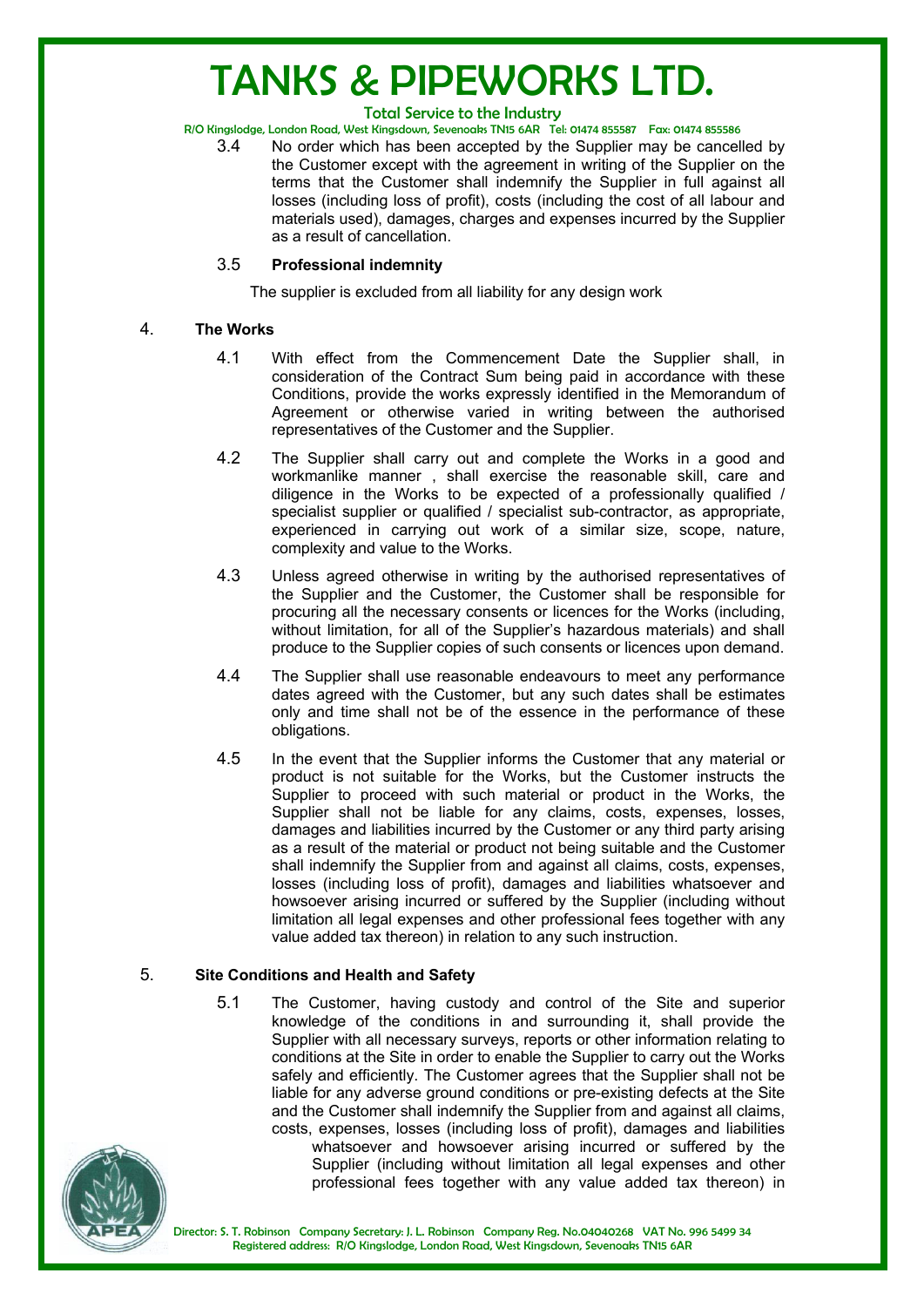#### Total Service to the Industry

R/O Kingslodge, London Road, West Kingsdown, Sevenoaks TN15 6AR Tel: 01474 855587 Fax: 01474 855586

3.4 No order which has been accepted by the Supplier may be cancelled by the Customer except with the agreement in writing of the Supplier on the terms that the Customer shall indemnify the Supplier in full against all losses (including loss of profit), costs (including the cost of all labour and materials used), damages, charges and expenses incurred by the Supplier as a result of cancellation.

#### 3.5 **Professional indemnity**

The supplier is excluded from all liability for any design work

#### 4. **The Works**

- 4.1 With effect from the Commencement Date the Supplier shall, in consideration of the Contract Sum being paid in accordance with these Conditions, provide the works expressly identified in the Memorandum of Agreement or otherwise varied in writing between the authorised representatives of the Customer and the Supplier.
- 4.2 The Supplier shall carry out and complete the Works in a good and workmanlike manner , shall exercise the reasonable skill, care and diligence in the Works to be expected of a professionally qualified / specialist supplier or qualified / specialist sub-contractor, as appropriate, experienced in carrying out work of a similar size, scope, nature, complexity and value to the Works.
- 4.3 Unless agreed otherwise in writing by the authorised representatives of the Supplier and the Customer, the Customer shall be responsible for procuring all the necessary consents or licences for the Works (including, without limitation, for all of the Supplier's hazardous materials) and shall produce to the Supplier copies of such consents or licences upon demand.
- 4.4 The Supplier shall use reasonable endeavours to meet any performance dates agreed with the Customer, but any such dates shall be estimates only and time shall not be of the essence in the performance of these obligations.
- 4.5 In the event that the Supplier informs the Customer that any material or product is not suitable for the Works, but the Customer instructs the Supplier to proceed with such material or product in the Works, the Supplier shall not be liable for any claims, costs, expenses, losses, damages and liabilities incurred by the Customer or any third party arising as a result of the material or product not being suitable and the Customer shall indemnify the Supplier from and against all claims, costs, expenses, losses (including loss of profit), damages and liabilities whatsoever and howsoever arising incurred or suffered by the Supplier (including without limitation all legal expenses and other professional fees together with any value added tax thereon) in relation to any such instruction.

#### 5. **Site Conditions and Health and Safety**

5.1 The Customer, having custody and control of the Site and superior knowledge of the conditions in and surrounding it, shall provide the Supplier with all necessary surveys, reports or other information relating to conditions at the Site in order to enable the Supplier to carry out the Works safely and efficiently. The Customer agrees that the Supplier shall not be liable for any adverse ground conditions or pre-existing defects at the Site and the Customer shall indemnify the Supplier from and against all claims, costs, expenses, losses (including loss of profit), damages and liabilities whatsoever and howsoever arising incurred or suffered by the Supplier (including without limitation all legal expenses and other professional fees together with any value added tax thereon) in

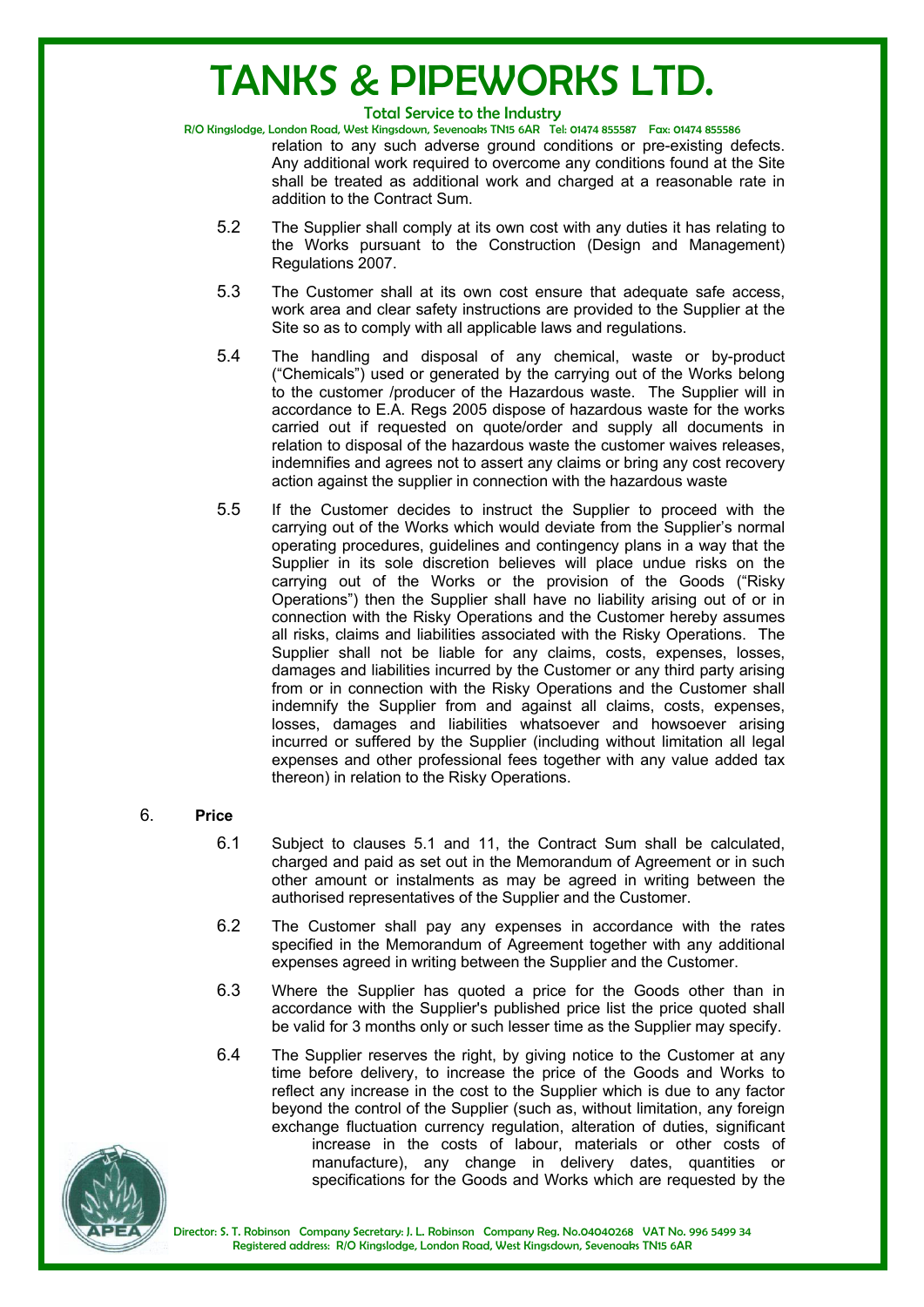#### Total Service to the Industry

R/O Kingslodge, London Road, West Kingsdown, Sevenoaks TN15 6AR Tel: 01474 855587 Fax: 01474 855586

- relation to any such adverse ground conditions or pre-existing defects. Any additional work required to overcome any conditions found at the Site shall be treated as additional work and charged at a reasonable rate in addition to the Contract Sum.
- 5.2 The Supplier shall comply at its own cost with any duties it has relating to the Works pursuant to the Construction (Design and Management) Regulations 2007.
- 5.3 The Customer shall at its own cost ensure that adequate safe access, work area and clear safety instructions are provided to the Supplier at the Site so as to comply with all applicable laws and regulations.
- 5.4 The handling and disposal of any chemical, waste or by-product ("Chemicals") used or generated by the carrying out of the Works belong to the customer /producer of the Hazardous waste. The Supplier will in accordance to E.A. Regs 2005 dispose of hazardous waste for the works carried out if requested on quote/order and supply all documents in relation to disposal of the hazardous waste the customer waives releases, indemnifies and agrees not to assert any claims or bring any cost recovery action against the supplier in connection with the hazardous waste
- 5.5 If the Customer decides to instruct the Supplier to proceed with the carrying out of the Works which would deviate from the Supplier's normal operating procedures, guidelines and contingency plans in a way that the Supplier in its sole discretion believes will place undue risks on the carrying out of the Works or the provision of the Goods ("Risky Operations") then the Supplier shall have no liability arising out of or in connection with the Risky Operations and the Customer hereby assumes all risks, claims and liabilities associated with the Risky Operations. The Supplier shall not be liable for any claims, costs, expenses, losses, damages and liabilities incurred by the Customer or any third party arising from or in connection with the Risky Operations and the Customer shall indemnify the Supplier from and against all claims, costs, expenses, losses, damages and liabilities whatsoever and howsoever arising incurred or suffered by the Supplier (including without limitation all legal expenses and other professional fees together with any value added tax thereon) in relation to the Risky Operations.

#### 6. **Price**

- 6.1 Subject to clauses 5.1 and 11, the Contract Sum shall be calculated, charged and paid as set out in the Memorandum of Agreement or in such other amount or instalments as may be agreed in writing between the authorised representatives of the Supplier and the Customer.
- 6.2 The Customer shall pay any expenses in accordance with the rates specified in the Memorandum of Agreement together with any additional expenses agreed in writing between the Supplier and the Customer.
- 6.3 Where the Supplier has quoted a price for the Goods other than in accordance with the Supplier's published price list the price quoted shall be valid for 3 months only or such lesser time as the Supplier may specify.
- 6.4 The Supplier reserves the right, by giving notice to the Customer at any time before delivery, to increase the price of the Goods and Works to reflect any increase in the cost to the Supplier which is due to any factor beyond the control of the Supplier (such as, without limitation, any foreign exchange fluctuation currency regulation, alteration of duties, significant increase in the costs of labour, materials or other costs of manufacture), any change in delivery dates, quantities or specifications for the Goods and Works which are requested by the

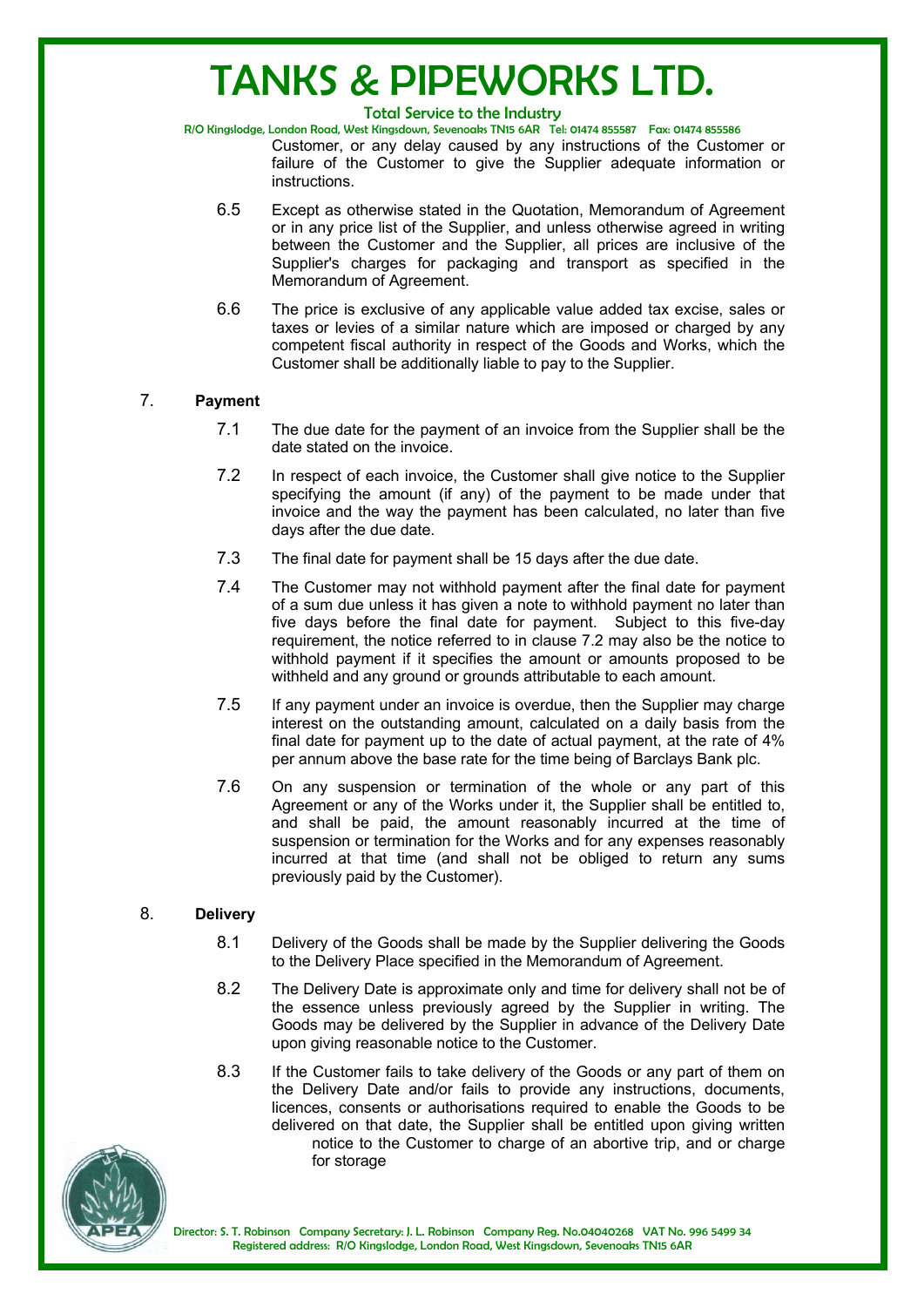#### Total Service to the Industry

R/O Kingslodge, London Road, West Kingsdown, Sevenoaks TN15 6AR Tel: 01474 855587 Fax: 01474 855586 Customer, or any delay caused by any instructions of the Customer or failure of the Customer to give the Supplier adequate information or instructions.

- 6.5 Except as otherwise stated in the Quotation, Memorandum of Agreement or in any price list of the Supplier, and unless otherwise agreed in writing between the Customer and the Supplier, all prices are inclusive of the Supplier's charges for packaging and transport as specified in the Memorandum of Agreement.
- 6.6 The price is exclusive of any applicable value added tax excise, sales or taxes or levies of a similar nature which are imposed or charged by any competent fiscal authority in respect of the Goods and Works, which the Customer shall be additionally liable to pay to the Supplier.

#### 7. **Payment**

- 7.1 The due date for the payment of an invoice from the Supplier shall be the date stated on the invoice.
- 7.2 In respect of each invoice, the Customer shall give notice to the Supplier specifying the amount (if any) of the payment to be made under that invoice and the way the payment has been calculated, no later than five days after the due date.
- 7.3 The final date for payment shall be 15 days after the due date.
- 7.4 The Customer may not withhold payment after the final date for payment of a sum due unless it has given a note to withhold payment no later than five days before the final date for payment. Subject to this five-day requirement, the notice referred to in clause 7.2 may also be the notice to withhold payment if it specifies the amount or amounts proposed to be withheld and any ground or grounds attributable to each amount.
- 7.5 If any payment under an invoice is overdue, then the Supplier may charge interest on the outstanding amount, calculated on a daily basis from the final date for payment up to the date of actual payment, at the rate of 4% per annum above the base rate for the time being of Barclays Bank plc.
- 7.6 On any suspension or termination of the whole or any part of this Agreement or any of the Works under it, the Supplier shall be entitled to, and shall be paid, the amount reasonably incurred at the time of suspension or termination for the Works and for any expenses reasonably incurred at that time (and shall not be obliged to return any sums previously paid by the Customer).

#### 8. **Delivery**

- 8.1 Delivery of the Goods shall be made by the Supplier delivering the Goods to the Delivery Place specified in the Memorandum of Agreement.
- 8.2 The Delivery Date is approximate only and time for delivery shall not be of the essence unless previously agreed by the Supplier in writing. The Goods may be delivered by the Supplier in advance of the Delivery Date upon giving reasonable notice to the Customer.
- 8.3 If the Customer fails to take delivery of the Goods or any part of them on the Delivery Date and/or fails to provide any instructions, documents, licences, consents or authorisations required to enable the Goods to be delivered on that date, the Supplier shall be entitled upon giving written notice to the Customer to charge of an abortive trip, and or charge for storage

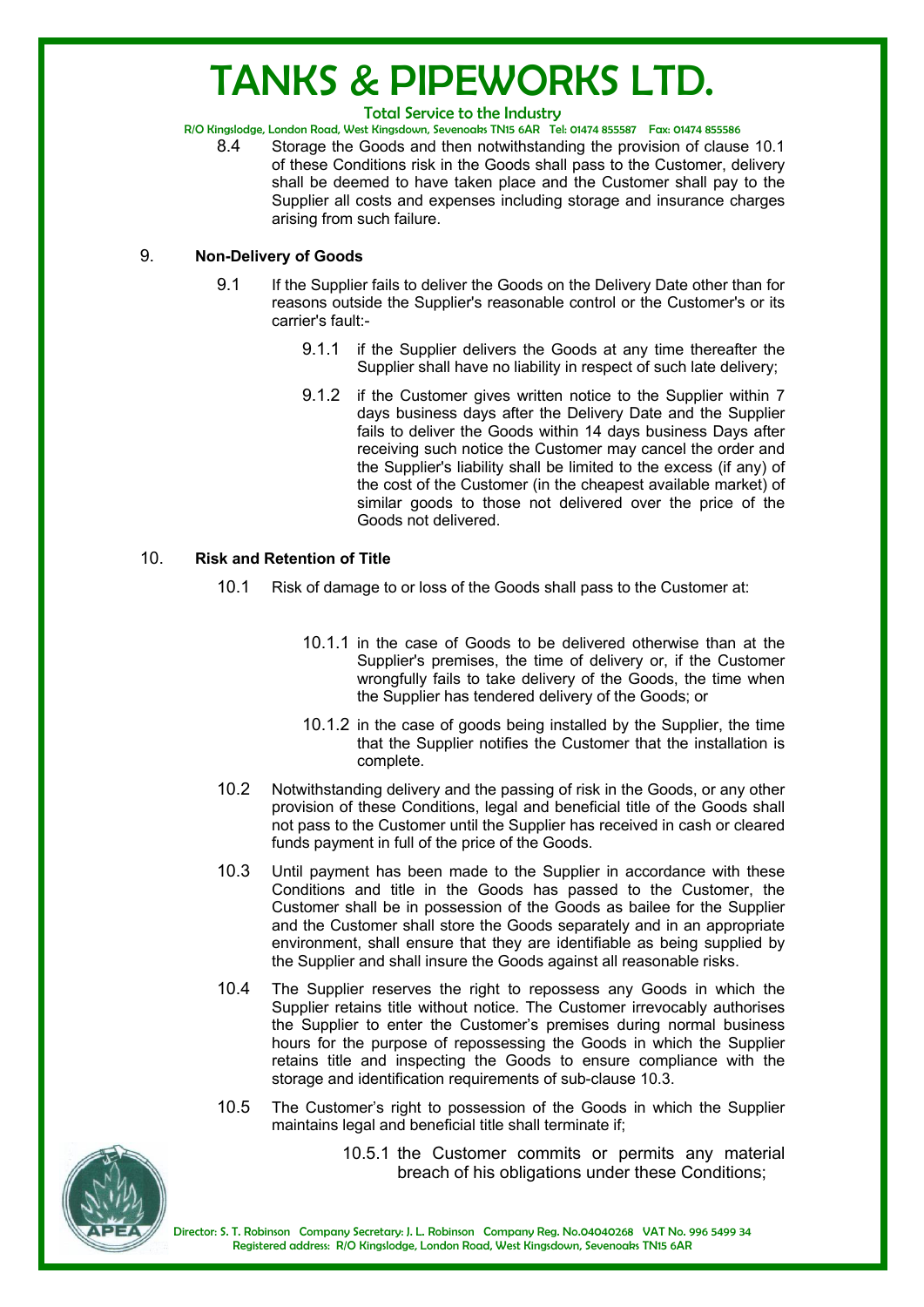#### Total Service to the Industry

R/O Kingslodge, London Road, West Kingsdown, Sevenoaks TN15 6AR Tel: 01474 855587 Fax: 01474 855586

8.4 Storage the Goods and then notwithstanding the provision of clause 10.1 of these Conditions risk in the Goods shall pass to the Customer, delivery shall be deemed to have taken place and the Customer shall pay to the Supplier all costs and expenses including storage and insurance charges arising from such failure.

#### 9. **Non-Delivery of Goods**

- 9.1 If the Supplier fails to deliver the Goods on the Delivery Date other than for reasons outside the Supplier's reasonable control or the Customer's or its carrier's fault:-
	- 9.1.1 if the Supplier delivers the Goods at any time thereafter the Supplier shall have no liability in respect of such late delivery;
	- 9.1.2 if the Customer gives written notice to the Supplier within 7 days business days after the Delivery Date and the Supplier fails to deliver the Goods within 14 days business Days after receiving such notice the Customer may cancel the order and the Supplier's liability shall be limited to the excess (if any) of the cost of the Customer (in the cheapest available market) of similar goods to those not delivered over the price of the Goods not delivered.

#### 10. **Risk and Retention of Title**

- 10.1 Risk of damage to or loss of the Goods shall pass to the Customer at:
	- 10.1.1 in the case of Goods to be delivered otherwise than at the Supplier's premises, the time of delivery or, if the Customer wrongfully fails to take delivery of the Goods, the time when the Supplier has tendered delivery of the Goods; or
	- 10.1.2 in the case of goods being installed by the Supplier, the time that the Supplier notifies the Customer that the installation is complete.
- 10.2 Notwithstanding delivery and the passing of risk in the Goods, or any other provision of these Conditions, legal and beneficial title of the Goods shall not pass to the Customer until the Supplier has received in cash or cleared funds payment in full of the price of the Goods.
- 10.3 Until payment has been made to the Supplier in accordance with these Conditions and title in the Goods has passed to the Customer, the Customer shall be in possession of the Goods as bailee for the Supplier and the Customer shall store the Goods separately and in an appropriate environment, shall ensure that they are identifiable as being supplied by the Supplier and shall insure the Goods against all reasonable risks.
- 10.4 The Supplier reserves the right to repossess any Goods in which the Supplier retains title without notice. The Customer irrevocably authorises the Supplier to enter the Customer's premises during normal business hours for the purpose of repossessing the Goods in which the Supplier retains title and inspecting the Goods to ensure compliance with the storage and identification requirements of sub-clause 10.3.
- 10.5 The Customer's right to possession of the Goods in which the Supplier maintains legal and beneficial title shall terminate if;



10.5.1 the Customer commits or permits any material breach of his obligations under these Conditions;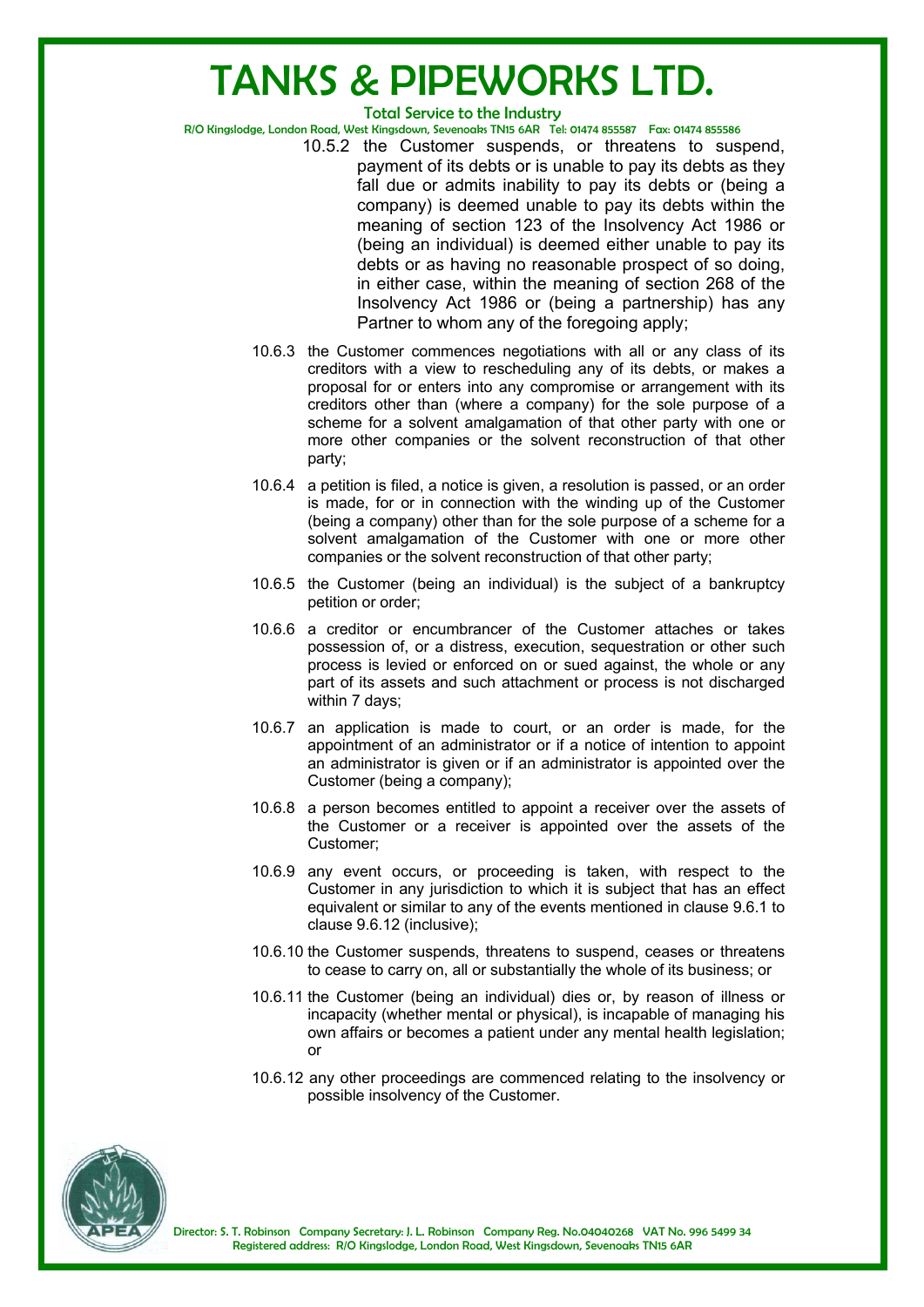Total Service to the Industry

R/O Kingslodge, London Road, West Kingsdown, Sevenoaks TN15 6AR Tel: 01474 855587 Fax: 01474 855586

- 10.5.2 the Customer suspends, or threatens to suspend, payment of its debts or is unable to pay its debts as they fall due or admits inability to pay its debts or (being a company) is deemed unable to pay its debts within the meaning of section 123 of the Insolvency Act 1986 or (being an individual) is deemed either unable to pay its debts or as having no reasonable prospect of so doing, in either case, within the meaning of section 268 of the Insolvency Act 1986 or (being a partnership) has any Partner to whom any of the foregoing apply;
	- 10.6.3 the Customer commences negotiations with all or any class of its creditors with a view to rescheduling any of its debts, or makes a proposal for or enters into any compromise or arrangement with its creditors other than (where a company) for the sole purpose of a scheme for a solvent amalgamation of that other party with one or more other companies or the solvent reconstruction of that other party;
	- 10.6.4 a petition is filed, a notice is given, a resolution is passed, or an order is made, for or in connection with the winding up of the Customer (being a company) other than for the sole purpose of a scheme for a solvent amalgamation of the Customer with one or more other companies or the solvent reconstruction of that other party;
	- 10.6.5 the Customer (being an individual) is the subject of a bankruptcy petition or order;
	- 10.6.6 a creditor or encumbrancer of the Customer attaches or takes possession of, or a distress, execution, sequestration or other such process is levied or enforced on or sued against, the whole or any part of its assets and such attachment or process is not discharged within 7 days;
	- 10.6.7 an application is made to court, or an order is made, for the appointment of an administrator or if a notice of intention to appoint an administrator is given or if an administrator is appointed over the Customer (being a company);
	- 10.6.8 a person becomes entitled to appoint a receiver over the assets of the Customer or a receiver is appointed over the assets of the Customer;
	- 10.6.9 any event occurs, or proceeding is taken, with respect to the Customer in any jurisdiction to which it is subject that has an effect equivalent or similar to any of the events mentioned in clause 9.6.1 to clause 9.6.12 (inclusive);
	- 10.6.10 the Customer suspends, threatens to suspend, ceases or threatens to cease to carry on, all or substantially the whole of its business; or
	- 10.6.11 the Customer (being an individual) dies or, by reason of illness or incapacity (whether mental or physical), is incapable of managing his own affairs or becomes a patient under any mental health legislation; or
	- 10.6.12 any other proceedings are commenced relating to the insolvency or possible insolvency of the Customer.

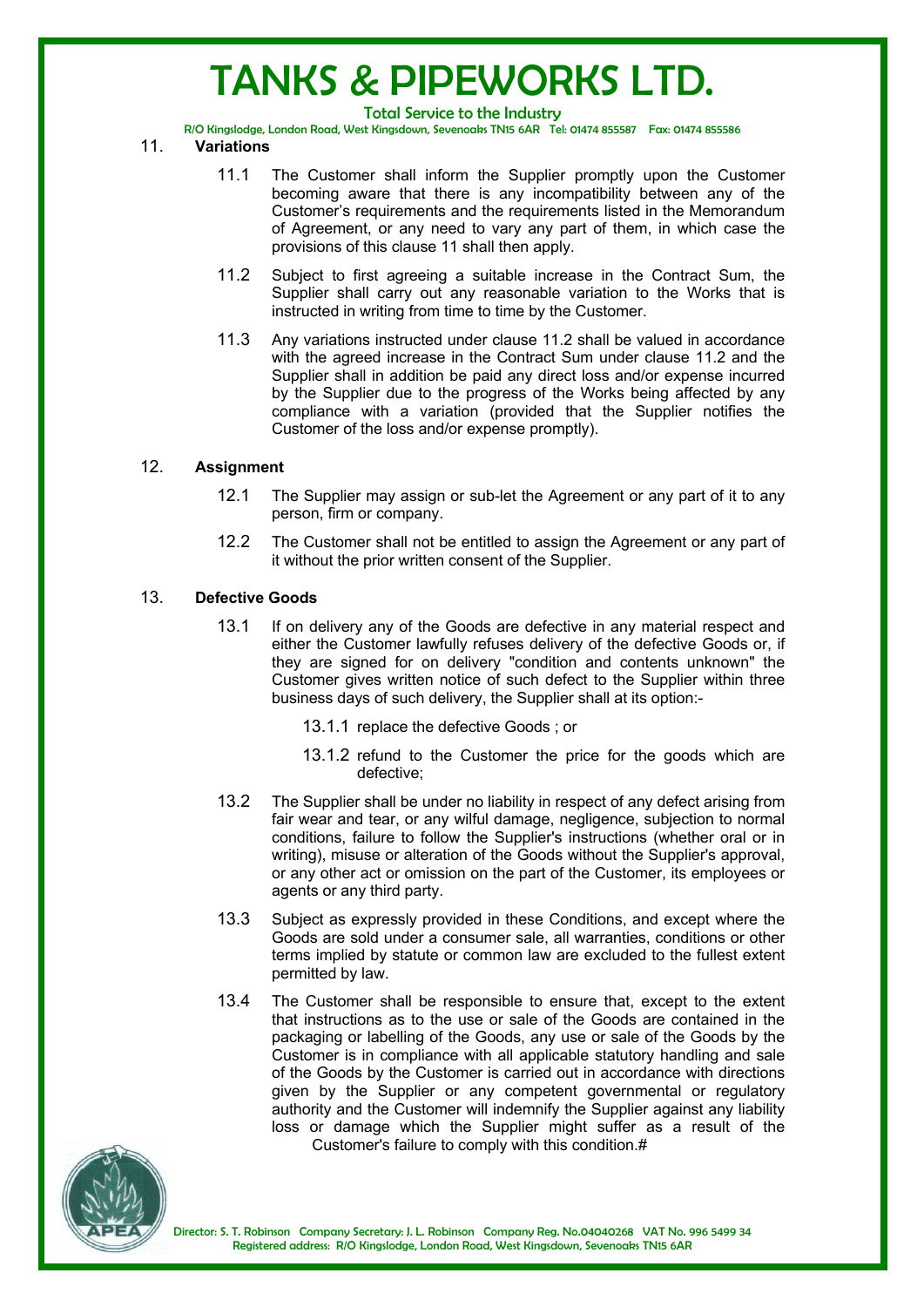#### Total Service to the Industry

R/O Kingslodge, London Road, West Kingsdown, Sevenoaks TN15 6AR Tel: 01474 855587 Fax: 01474 855586

#### 11. **Variations**

- 11.1 The Customer shall inform the Supplier promptly upon the Customer becoming aware that there is any incompatibility between any of the Customer's requirements and the requirements listed in the Memorandum of Agreement, or any need to vary any part of them, in which case the provisions of this clause 11 shall then apply.
- 11.2 Subject to first agreeing a suitable increase in the Contract Sum, the Supplier shall carry out any reasonable variation to the Works that is instructed in writing from time to time by the Customer.
- 11.3 Any variations instructed under clause 11.2 shall be valued in accordance with the agreed increase in the Contract Sum under clause 11.2 and the Supplier shall in addition be paid any direct loss and/or expense incurred by the Supplier due to the progress of the Works being affected by any compliance with a variation (provided that the Supplier notifies the Customer of the loss and/or expense promptly).

#### 12. **Assignment**

- 12.1 The Supplier may assign or sub-let the Agreement or any part of it to any person, firm or company.
- 12.2 The Customer shall not be entitled to assign the Agreement or any part of it without the prior written consent of the Supplier.

#### 13. **Defective Goods**

- 13.1 If on delivery any of the Goods are defective in any material respect and either the Customer lawfully refuses delivery of the defective Goods or, if they are signed for on delivery "condition and contents unknown" the Customer gives written notice of such defect to the Supplier within three business days of such delivery, the Supplier shall at its option:-
	- 13.1.1 replace the defective Goods ; or
	- 13.1.2 refund to the Customer the price for the goods which are defective;
- 13.2 The Supplier shall be under no liability in respect of any defect arising from fair wear and tear, or any wilful damage, negligence, subjection to normal conditions, failure to follow the Supplier's instructions (whether oral or in writing), misuse or alteration of the Goods without the Supplier's approval, or any other act or omission on the part of the Customer, its employees or agents or any third party.
- 13.3 Subject as expressly provided in these Conditions, and except where the Goods are sold under a consumer sale, all warranties, conditions or other terms implied by statute or common law are excluded to the fullest extent permitted by law.
- 13.4 The Customer shall be responsible to ensure that, except to the extent that instructions as to the use or sale of the Goods are contained in the packaging or labelling of the Goods, any use or sale of the Goods by the Customer is in compliance with all applicable statutory handling and sale of the Goods by the Customer is carried out in accordance with directions given by the Supplier or any competent governmental or regulatory authority and the Customer will indemnify the Supplier against any liability loss or damage which the Supplier might suffer as a result of the Customer's failure to comply with this condition.#

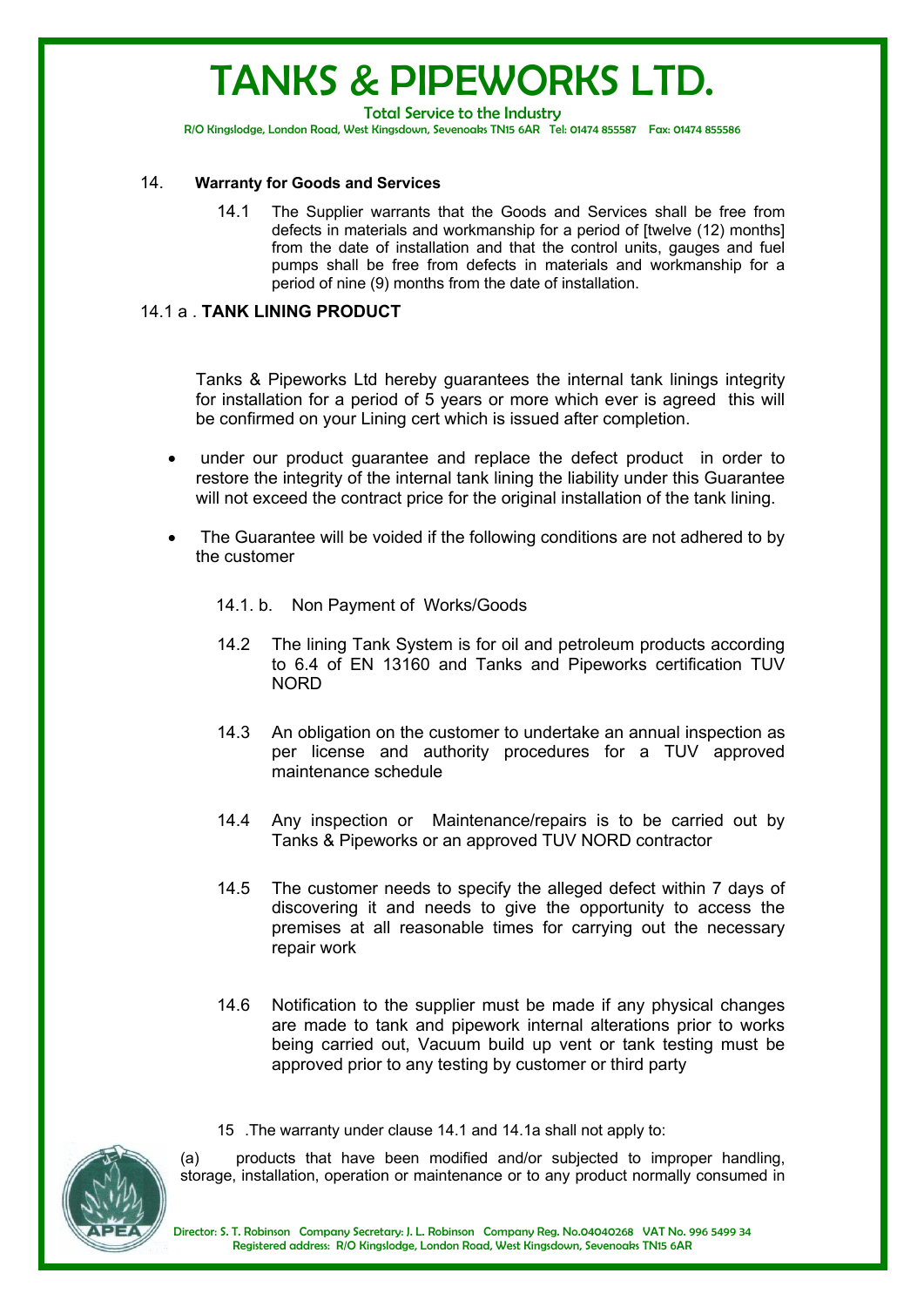Total Service to the Industry

R/O Kingslodge, London Road, West Kingsdown, Sevenoaks TN15 6AR Tel: 01474 855587 Fax: 01474 855586

#### 14. **Warranty for Goods and Services**

14.1 The Supplier warrants that the Goods and Services shall be free from defects in materials and workmanship for a period of [twelve (12) months] from the date of installation and that the control units, gauges and fuel pumps shall be free from defects in materials and workmanship for a period of nine (9) months from the date of installation.

### 14.1 a . **TANK LINING PRODUCT**

Tanks & Pipeworks Ltd hereby guarantees the internal tank linings integrity for installation for a period of 5 years or more which ever is agreed this will be confirmed on your Lining cert which is issued after completion.

- under our product guarantee and replace the defect product in order to restore the integrity of the internal tank lining the liability under this Guarantee will not exceed the contract price for the original installation of the tank lining.
- The Guarantee will be voided if the following conditions are not adhered to by the customer
	- 14.1. b. Non Payment of Works/Goods
	- 14.2 The lining Tank System is for oil and petroleum products according to 6.4 of EN 13160 and Tanks and Pipeworks certification TUV **NORD**
	- 14.3 An obligation on the customer to undertake an annual inspection as per license and authority procedures for a TUV approved maintenance schedule
	- 14.4 Any inspection or Maintenance/repairs is to be carried out by Tanks & Pipeworks or an approved TUV NORD contractor
	- 14.5 The customer needs to specify the alleged defect within 7 days of discovering it and needs to give the opportunity to access the premises at all reasonable times for carrying out the necessary repair work
	- 14.6 Notification to the supplier must be made if any physical changes are made to tank and pipework internal alterations prior to works being carried out, Vacuum build up vent or tank testing must be approved prior to any testing by customer or third party
	- 15 .The warranty under clause 14.1 and 14.1a shall not apply to:



(a) products that have been modified and/or subjected to improper handling, storage, installation, operation or maintenance or to any product normally consumed in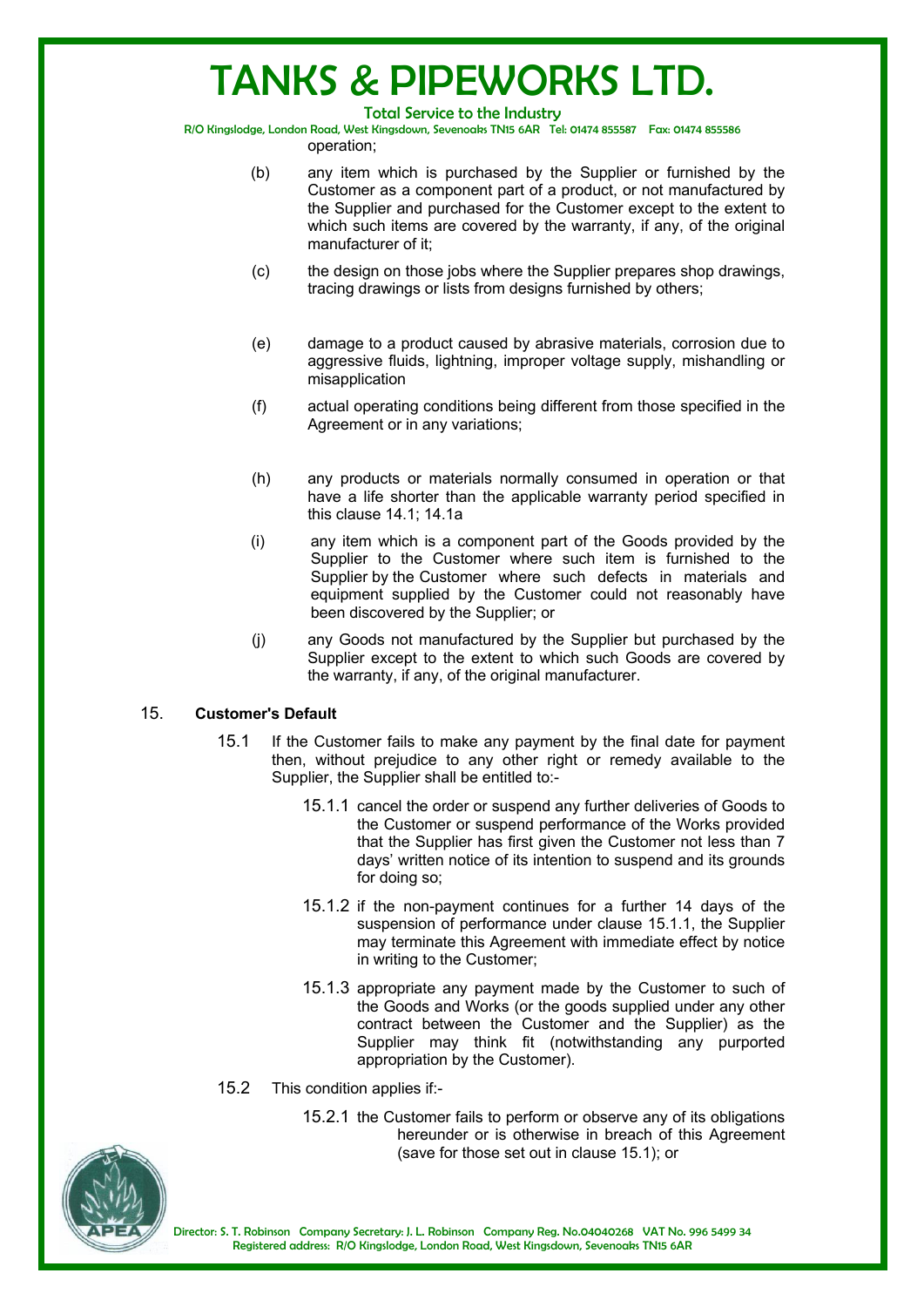#### Total Service to the Industry

R/O Kingslodge, London Road, West Kingsdown, Sevenoaks TN15 6AR Tel: 01474 855587 Fax: 01474 855586 operation;

- (b) any item which is purchased by the Supplier or furnished by the Customer as a component part of a product, or not manufactured by the Supplier and purchased for the Customer except to the extent to which such items are covered by the warranty, if any, of the original manufacturer of it;
- (c) the design on those jobs where the Supplier prepares shop drawings, tracing drawings or lists from designs furnished by others;
- (e) damage to a product caused by abrasive materials, corrosion due to aggressive fluids, lightning, improper voltage supply, mishandling or misapplication
- (f) actual operating conditions being different from those specified in the Agreement or in any variations;
- (h) any products or materials normally consumed in operation or that have a life shorter than the applicable warranty period specified in this clause 14.1; 14.1a
- (i) any item which is a component part of the Goods provided by the Supplier to the Customer where such item is furnished to the Supplier by the Customer where such defects in materials and equipment supplied by the Customer could not reasonably have been discovered by the Supplier; or
- (j) any Goods not manufactured by the Supplier but purchased by the Supplier except to the extent to which such Goods are covered by the warranty, if any, of the original manufacturer.

#### 15. **Customer's Default**

- 15.1 If the Customer fails to make any payment by the final date for payment then, without prejudice to any other right or remedy available to the Supplier, the Supplier shall be entitled to:-
	- 15.1.1 cancel the order or suspend any further deliveries of Goods to the Customer or suspend performance of the Works provided that the Supplier has first given the Customer not less than 7 days' written notice of its intention to suspend and its grounds for doing so;
	- 15.1.2 if the non-payment continues for a further 14 days of the suspension of performance under clause 15.1.1, the Supplier may terminate this Agreement with immediate effect by notice in writing to the Customer;
	- 15.1.3 appropriate any payment made by the Customer to such of the Goods and Works (or the goods supplied under any other contract between the Customer and the Supplier) as the Supplier may think fit (notwithstanding any purported appropriation by the Customer).
- 15.2 This condition applies if:-
	- 15.2.1 the Customer fails to perform or observe any of its obligations hereunder or is otherwise in breach of this Agreement (save for those set out in clause 15.1); or

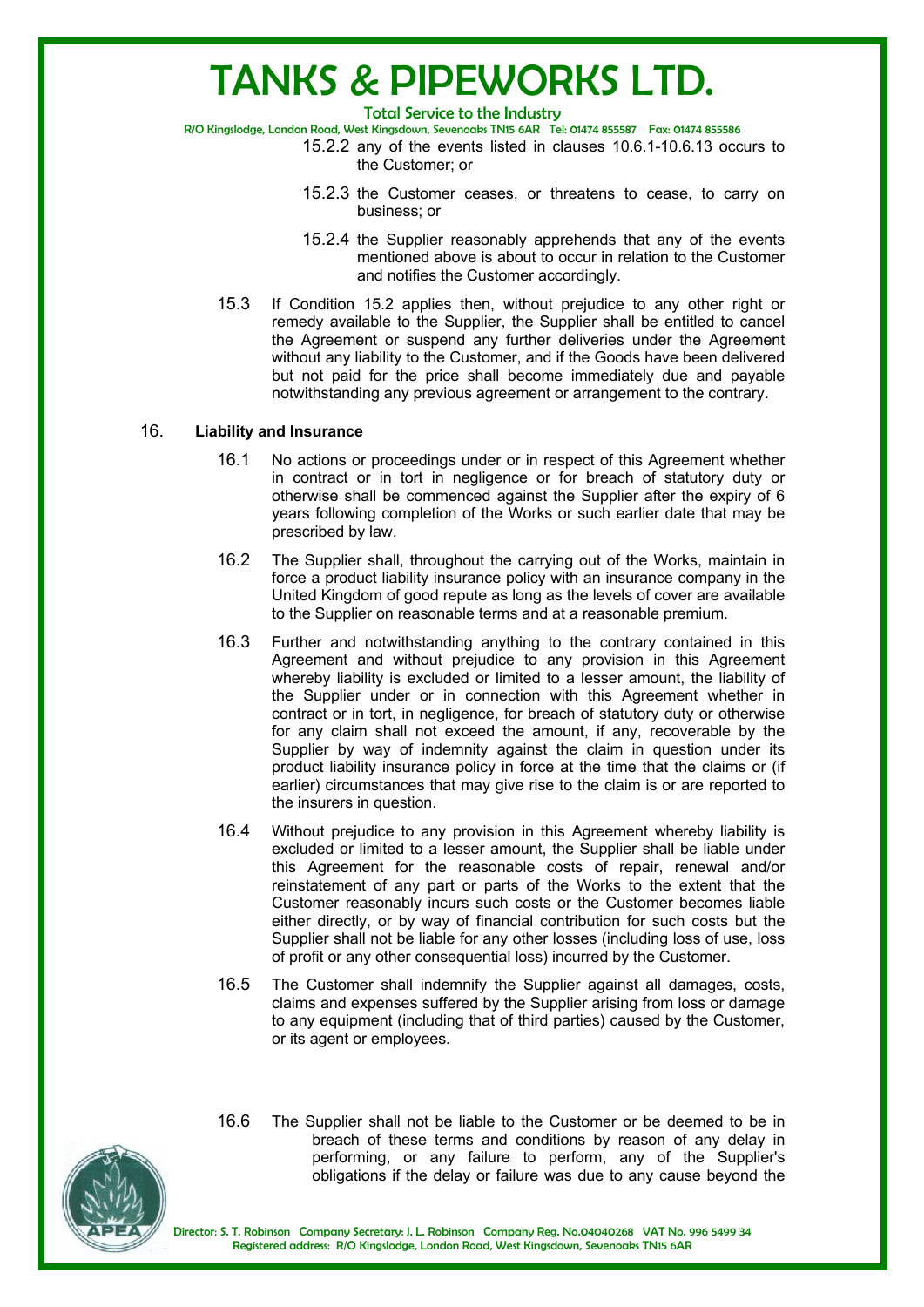#### Total Service to the Industry

R/O Kingslodge, London Road, West Kingsdown, Sevenoaks TN15 6AR Tel: 01474 855587 Fax: 01474 855586

- 15.2.2 any of the events listed in clauses 10.6.1-10.6.13 occurs to the Customer; or
- 15.2.3 the Customer ceases, or threatens to cease, to carry on business; or
- 15.2.4 the Supplier reasonably apprehends that any of the events mentioned above is about to occur in relation to the Customer and notifies the Customer accordingly.
- 15.3 If Condition 15.2 applies then, without prejudice to any other right or remedy available to the Supplier, the Supplier shall be entitled to cancel the Agreement or suspend any further deliveries under the Agreement without any liability to the Customer, and if the Goods have been delivered but not paid for the price shall become immediately due and payable notwithstanding any previous agreement or arrangement to the contrary.

#### 16. **Liability and Insurance**

- 16.1 No actions or proceedings under or in respect of this Agreement whether in contract or in tort in negligence or for breach of statutory duty or otherwise shall be commenced against the Supplier after the expiry of 6 years following completion of the Works or such earlier date that may be prescribed by law.
- 16.2 The Supplier shall, throughout the carrying out of the Works, maintain in force a product liability insurance policy with an insurance company in the United Kingdom of good repute as long as the levels of cover are available to the Supplier on reasonable terms and at a reasonable premium.
- 16.3 Further and notwithstanding anything to the contrary contained in this Agreement and without prejudice to any provision in this Agreement whereby liability is excluded or limited to a lesser amount, the liability of the Supplier under or in connection with this Agreement whether in contract or in tort, in negligence, for breach of statutory duty or otherwise for any claim shall not exceed the amount, if any, recoverable by the Supplier by way of indemnity against the claim in question under its product liability insurance policy in force at the time that the claims or (if earlier) circumstances that may give rise to the claim is or are reported to the insurers in question.
- 16.4 Without prejudice to any provision in this Agreement whereby liability is excluded or limited to a lesser amount, the Supplier shall be liable under this Agreement for the reasonable costs of repair, renewal and/or reinstatement of any part or parts of the Works to the extent that the Customer reasonably incurs such costs or the Customer becomes liable either directly, or by way of financial contribution for such costs but the Supplier shall not be liable for any other losses (including loss of use, loss of profit or any other consequential loss) incurred by the Customer.
- 16.5 The Customer shall indemnify the Supplier against all damages, costs, claims and expenses suffered by the Supplier arising from loss or damage to any equipment (including that of third parties) caused by the Customer, or its agent or employees.
- 16.6 The Supplier shall not be liable to the Customer or be deemed to be in breach of these terms and conditions by reason of any delay in performing, or any failure to perform, any of the Supplier's obligations if the delay or failure was due to any cause beyond the

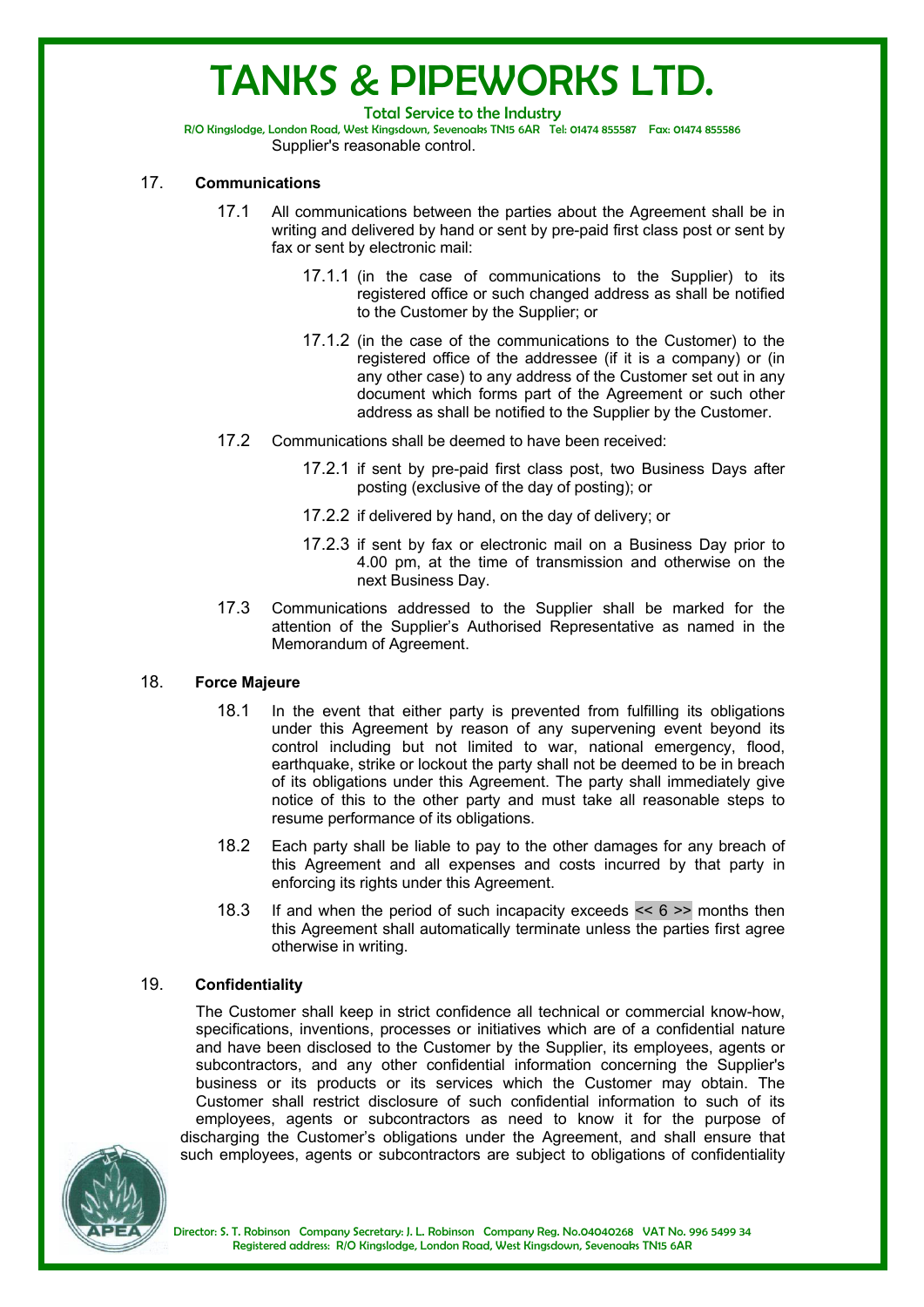#### Total Service to the Industry

R/O Kingslodge, London Road, West Kingsdown, Sevenoaks TN15 6AR Tel: 01474 855587 Fax: 01474 855586 Supplier's reasonable control.

#### 17. **Communications**

- 17.1 All communications between the parties about the Agreement shall be in writing and delivered by hand or sent by pre-paid first class post or sent by fax or sent by electronic mail:
	- 17.1.1 (in the case of communications to the Supplier) to its registered office or such changed address as shall be notified to the Customer by the Supplier; or
	- 17.1.2 (in the case of the communications to the Customer) to the registered office of the addressee (if it is a company) or (in any other case) to any address of the Customer set out in any document which forms part of the Agreement or such other address as shall be notified to the Supplier by the Customer.
- 17.2 Communications shall be deemed to have been received:
	- 17.2.1 if sent by pre-paid first class post, two Business Days after posting (exclusive of the day of posting); or
	- 17.2.2 if delivered by hand, on the day of delivery; or
	- 17.2.3 if sent by fax or electronic mail on a Business Day prior to 4.00 pm, at the time of transmission and otherwise on the next Business Day.
- 17.3 Communications addressed to the Supplier shall be marked for the attention of the Supplier's Authorised Representative as named in the Memorandum of Agreement.

#### 18. **Force Majeure**

- 18.1 In the event that either party is prevented from fulfilling its obligations under this Agreement by reason of any supervening event beyond its control including but not limited to war, national emergency, flood, earthquake, strike or lockout the party shall not be deemed to be in breach of its obligations under this Agreement. The party shall immediately give notice of this to the other party and must take all reasonable steps to resume performance of its obligations.
- 18.2 Each party shall be liable to pay to the other damages for any breach of this Agreement and all expenses and costs incurred by that party in enforcing its rights under this Agreement.
- 18.3 If and when the period of such incapacity exceeds  $\le 6$  >> months then this Agreement shall automatically terminate unless the parties first agree otherwise in writing.

#### 19. **Confidentiality**

The Customer shall keep in strict confidence all technical or commercial know-how, specifications, inventions, processes or initiatives which are of a confidential nature and have been disclosed to the Customer by the Supplier, its employees, agents or subcontractors, and any other confidential information concerning the Supplier's business or its products or its services which the Customer may obtain. The Customer shall restrict disclosure of such confidential information to such of its employees, agents or subcontractors as need to know it for the purpose of discharging the Customer's obligations under the Agreement, and shall ensure that such employees, agents or subcontractors are subject to obligations of confidentiality